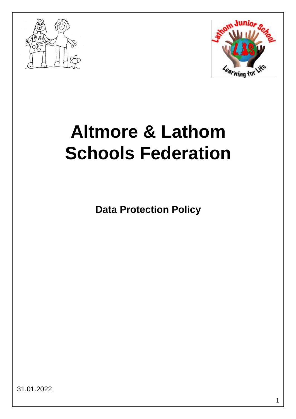



# **Altmore & Lathom Schools Federation**

**Data Protection Policy**

31.01.2022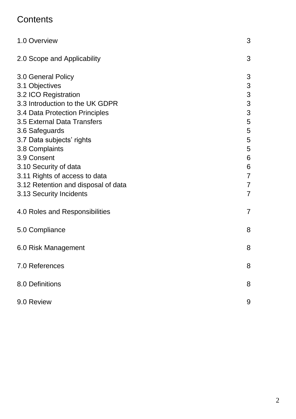# **Contents**

| 1.0 Overview                        | 3 |
|-------------------------------------|---|
| 2.0 Scope and Applicability         | 3 |
| 3.0 General Policy                  | 3 |
| 3.1 Objectives                      | 3 |
| 3.2 ICO Registration                | 3 |
| 3.3 Introduction to the UK GDPR     | 3 |
| 3.4 Data Protection Principles      | 3 |
| 3.5 External Data Transfers         | 5 |
| 3.6 Safeguards                      | 5 |
| 3.7 Data subjects' rights           | 5 |
| 3.8 Complaints                      | 5 |
| 3.9 Consent                         | 6 |
| 3.10 Security of data               | 6 |
| 3.11 Rights of access to data       | 7 |
| 3.12 Retention and disposal of data | 7 |
| 3.13 Security Incidents             | 7 |
| 4.0 Roles and Responsibilities      | 7 |
| 5.0 Compliance                      | 8 |
| 6.0 Risk Management                 | 8 |
| 7.0 References                      | 8 |
| 8.0 Definitions                     | 8 |
| 9.0 Review                          | 9 |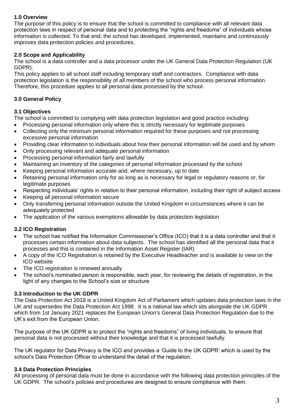# **1.0 Overview**

The purpose of this policy is to ensure that the school is committed to compliance with all relevant data protection laws in respect of personal data and to protecting the "rights and freedoms" of individuals whose information is collected. To that end, the school has developed, implemented, maintains and continuously improves data protection policies and procedures.

# **2.0 Scope and Applicability**

The school is a data controller and a data processor under the UK General Data Protection Regulation (UK GDPR).

This policy applies to all school staff including temporary staff and contractors. Compliance with data protection legislation is the responsibility of all members of the school who process personal information. Therefore, this procedure applies to all personal data processed by the school.

# **3.0 General Policy**

# **3.1 Objectives**

The school is committed to complying with data protection legislation and good practice including:

- Processing personal information only where this is strictly necessary for legitimate purposes
- Collecting only the minimum personal information required for these purposes and not processing excessive personal information
- Providing clear information to individuals about how their personal information will be used and by whom
- Only processing relevant and adequate personal information
- Processing personal information fairly and lawfully
- Maintaining an inventory of the categories of personal information processed by the school
- Keeping personal information accurate and, where necessary, up to date
- Retaining personal information only for as long as is necessary for legal or regulatory reasons or, for legitimate purposes
- Respecting individuals' rights in relation to their personal information, including their right of subject access
- Keeping all personal information secure
- Only transferring personal information outside the United Kingdom in circumstances where it can be adequately protected
- The application of the various exemptions allowable by data protection legislation

## **3.2 ICO Registration**

- The school has notified the Information Commissioner's Office (ICO) that it is a data controller and that it processes certain information about data subjects. The school has identified all the personal data that it processes and this is contained in the Information Asset Register (IAR)
- A copy of the ICO Registration is retained by the Executive Headteacher and is available to view on the ICO website
- The ICO registration is renewed annually
- The school's nominated person is responsible, each year, for reviewing the details of registration, in the light of any changes to the School's size or structure

## **3.3 Introduction to the UK GDPR**

The Data Protection Act 2018 is a United Kingdom Act of Parliament which updates data protection laws in the UK and supersedes the Data Protection Act 1998. It is a national law which sits alongside the UK GDPR which from 1st January 2021 replaces the European Union's General Data Protection Regulation due to the UK's exit from the European Union.

The purpose of the UK GDPR is to protect the "rights and freedoms" of living individuals, to ensure that personal data is not processed without their knowledge and that it is processed lawfully.

The UK regulator for Data Privacy is the ICO and provides a 'Guide to the UK GDPR' which is used by the school's Data Protection Officer to understand the detail of the regulation.

## **3.4 Data Protection Principles**

All processing of personal data must be done in accordance with the following data protection principles of the UK GDPR. The school's policies and procedures are designed to ensure compliance with them.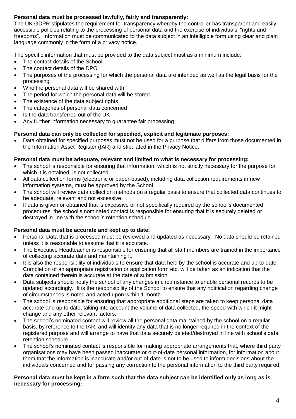# **Personal data must be processed lawfully, fairly and transparently:**

The UK GDPR stipulates the requirement for transparency whereby the controller has transparent and easily accessible policies relating to the processing of personal data and the exercise of individuals' "rights and freedoms". Information must be communicated to the data subject in an intelligible form using clear and plain language commonly in the form of a privacy notice.

The specific information that must be provided to the data subject must as a minimum include:

- The contact details of the School
- The contact details of the DPO
- The purposes of the processing for which the personal data are intended as well as the legal basis for the processing
- Who the personal data will be shared with
- The period for which the personal data will be stored
- The existence of the data subject rights
- The categories of personal data concerned
- Is the data transferred out of the UK
- Any further information necessary to guarantee fair processing

#### **Personal data can only be collected for specified, explicit and legitimate purposes;**

 Data obtained for specified purposes must not be used for a purpose that differs from those documented in the Information Asset Register (IAR) and stipulated in the Privacy Notice.

#### **Personal data must be adequate, relevant and limited to what is necessary for processing:**

- The school is responsible for ensuring that information, which is not strictly necessary for the purpose for which it is obtained, is not collected.
- All data collection forms (electronic or paper-based), including data collection requirements in new information systems, must be approved by the School.
- The school will review data collection methods on a regular basis to ensure that collected data continues to be adequate, relevant and not excessive.
- If data is given or obtained that is excessive or not specifically required by the school's documented procedures, the school's nominated contact is responsible for ensuring that it is securely deleted or destroyed in line with the school's retention schedule.

## **Personal data must be accurate and kept up to date:**

- Personal Data that is processed must be reviewed and updated as necessary. No data should be retained unless it is reasonable to assume that it is accurate.
- The Executive Headteacher is responsible for ensuring that all staff members are trained in the importance of collecting accurate data and maintaining it.
- It is also the responsibility of individuals to ensure that data held by the school is accurate and up-to-date. Completion of an appropriate registration or application form etc. will be taken as an indication that the data contained therein is accurate at the date of submission.
- Data subjects should notify the school of any changes in circumstance to enable personal records to be updated accordingly. It is the responsibility of the School to ensure that any notification regarding change of circumstances is noted and acted upon within 1 month.
- The school is responsible for ensuring that appropriate additional steps are taken to keep personal data accurate and up to date, taking into account the volume of data collected, the speed with which it might change and any other relevant factors.
- The school's nominated contact will review all the personal data maintained by the school on a regular basis, by reference to the IAR, and will identify any data that is no longer required in the context of the registered purpose and will arrange to have that data securely deleted/destroyed in line with school's data retention schedule.
- The school's nominated contact is responsible for making appropriate arrangements that, where third party organisations may have been passed inaccurate or out-of-date personal information, for information about them that the information is inaccurate and/or out-of-date is not to be used to inform decisions about the individuals concerned and for passing any correction to the personal information to the third party required.

#### **Personal data must be kept in a form such that the data subject can be identified only as long as is necessary for processing:**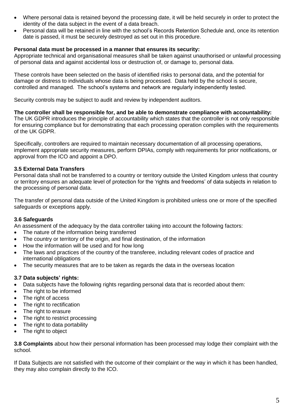- Where personal data is retained beyond the processing date, it will be held securely in order to protect the identity of the data subject in the event of a data breach.
- Personal data will be retained in line with the school's Records Retention Schedule and, once its retention date is passed, it must be securely destroyed as set out in this procedure.

#### **Personal data must be processed in a manner that ensures its security:**

Appropriate technical and organisational measures shall be taken against unauthorised or unlawful processing of personal data and against accidental loss or destruction of, or damage to, personal data.

These controls have been selected on the basis of identified risks to personal data, and the potential for damage or distress to individuals whose data is being processed. Data held by the school is secure, controlled and managed. The school's systems and network are regularly independently tested.

Security controls may be subject to audit and review by independent auditors.

**The controller shall be responsible for, and be able to demonstrate compliance with accountability:** The UK GDPR introduces the principle of accountability which states that the controller is not only responsible for ensuring compliance but for demonstrating that each processing operation complies with the requirements of the UK GDPR.

Specifically, controllers are required to maintain necessary documentation of all processing operations, implement appropriate security measures, perform DPIAs, comply with requirements for prior notifications, or approval from the ICO and appoint a DPO.

## **3.5 External Data Transfers**

Personal data shall not be transferred to a country or territory outside the United Kingdom unless that country or territory ensures an adequate level of protection for the 'rights and freedoms' of data subjects in relation to the processing of personal data.

The transfer of personal data outside of the United Kingdom is prohibited unless one or more of the specified safeguards or exceptions apply.

## **3.6 Safeguards**

An assessment of the adequacy by the data controller taking into account the following factors:

- The nature of the information being transferred
- The country or territory of the origin, and final destination, of the information
- How the information will be used and for how long
- The laws and practices of the country of the transferee, including relevant codes of practice and international obligations
- The security measures that are to be taken as regards the data in the overseas location

## **3.7 Data subjects' rights:**

- Data subjects have the following rights regarding personal data that is recorded about them:
- The right to be informed
- The right of access
- The right to rectification
- The right to erasure
- The right to restrict processing
- The right to data portability
- The right to object

**3.8 Complaints** about how their personal information has been processed may lodge their complaint with the school.

If Data Subjects are not satisfied with the outcome of their complaint or the way in which it has been handled, they may also complain directly to the ICO.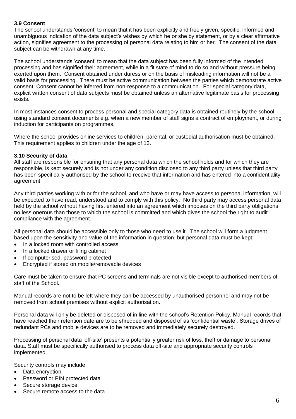#### **3.9 Consent**

The school understands 'consent' to mean that it has been explicitly and freely given, specific, informed and unambiguous indication of the data subject's wishes by which he or she by statement, or by a clear affirmative action, signifies agreement to the processing of personal data relating to him or her. The consent of the data subject can be withdrawn at any time.

The school understands 'consent' to mean that the data subject has been fully informed of the intended processing and has signified their agreement, while in a fit state of mind to do so and without pressure being exerted upon them. Consent obtained under duress or on the basis of misleading information will not be a valid basis for processing. There must be active communication between the parties which demonstrate active consent. Consent cannot be inferred from non-response to a communication. For special category data, explicit written consent of data subjects must be obtained unless an alternative legitimate basis for processing exists.

In most instances consent to process personal and special category data is obtained routinely by the school using standard consent documents e.g. when a new member of staff signs a contract of employment, or during induction for participants on programmes.

Where the school provides online services to children, parental, or custodial authorisation must be obtained. This requirement applies to children under the age of 13.

#### **3.10 Security of data**

All staff are responsible for ensuring that any personal data which the school holds and for which they are responsible, is kept securely and is not under any condition disclosed to any third party unless that third party has been specifically authorised by the school to receive that information and has entered into a confidentiality agreement.

Any third parties working with or for the school, and who have or may have access to personal information, will be expected to have read, understood and to comply with this policy. No third party may access personal data held by the school without having first entered into an agreement which imposes on the third party obligations no less onerous than those to which the school is committed and which gives the school the right to audit compliance with the agreement.

All personal data should be accessible only to those who need to use it. The school will form a judgment based upon the sensitivity and value of the information in question, but personal data must be kept:

- In a locked room with controlled access
- In a locked drawer or filing cabinet
- If computerised, password protected
- Encrypted if stored on mobile/removable devices

Care must be taken to ensure that PC screens and terminals are not visible except to authorised members of staff of the School.

Manual records are not to be left where they can be accessed by unauthorised personnel and may not be removed from school premises without explicit authorisation.

Personal data will only be deleted or disposed of in line with the school's Retention Policy. Manual records that have reached their retention date are to be shredded and disposed of as 'confidential waste'. Storage drives of redundant PCs and mobile devices are to be removed and immediately securely destroyed.

Processing of personal data 'off-site' presents a potentially greater risk of loss, theft or damage to personal data. Staff must be specifically authorised to process data off-site and appropriate security controls implemented.

Security controls may include:

- Data encryption
- Password or PIN protected data
- Secure storage device
- Secure remote access to the data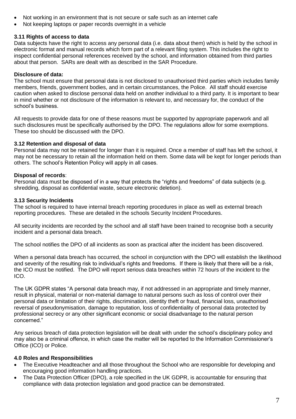- Not working in an environment that is not secure or safe such as an internet cafe
- Not keeping laptops or paper records overnight in a vehicle

# **3.11 Rights of access to data**

Data subjects have the right to access any personal data (i.e. data about them) which is held by the school in electronic format and manual records which form part of a relevant filing system. This includes the right to inspect confidential personal references received by the school, and information obtained from third parties about that person. SARs are dealt with as described in the SAR Procedure.

# **Disclosure of data:**

The school must ensure that personal data is not disclosed to unauthorised third parties which includes family members, friends, government bodies, and in certain circumstances, the Police. All staff should exercise caution when asked to disclose personal data held on another individual to a third party. It is important to bear in mind whether or not disclosure of the information is relevant to, and necessary for, the conduct of the school's business.

All requests to provide data for one of these reasons must be supported by appropriate paperwork and all such disclosures must be specifically authorised by the DPO. The regulations allow for some exemptions. These too should be discussed with the DPO.

## **3.12 Retention and disposal of data**

Personal data may not be retained for longer than it is required. Once a member of staff has left the school, it may not be necessary to retain all the information held on them. Some data will be kept for longer periods than others. The school's Retention Policy will apply in all cases.

# **Disposal of records**:

Personal data must be disposed of in a way that protects the "rights and freedoms" of data subjects (e.g. shredding, disposal as confidential waste, secure electronic deletion).

## **3.13 Security Incidents**

The school is required to have internal breach reporting procedures in place as well as external breach reporting procedures. These are detailed in the schools Security Incident Procedures.

All security incidents are recorded by the school and all staff have been trained to recognise both a security incident and a personal data breach.

The school notifies the DPO of all incidents as soon as practical after the incident has been discovered.

When a personal data breach has occurred, the school in conjunction with the DPO will establish the likelihood and severity of the resulting risk to individual's rights and freedoms. If there is likely that there will be a risk, the ICO must be notified. The DPO will report serious data breaches within 72 hours of the incident to the ICO.

The UK GDPR states "A personal data breach may, if not addressed in an appropriate and timely manner, result in physical, material or non-material damage to natural persons such as loss of control over their personal data or limitation of their rights, discrimination, identity theft or fraud, financial loss, unauthorised reversal of pseudonymisation, damage to reputation, loss of confidentiality of personal data protected by professional secrecy or any other significant economic or social disadvantage to the natural person concerned."

Any serious breach of data protection legislation will be dealt with under the school's disciplinary policy and may also be a criminal offence, in which case the matter will be reported to the Information Commissioner's Office (ICO) or Police.

# **4.0 Roles and Responsibilities**

- The Executive Headteacher and all those throughout the School who are responsible for developing and encouraging good information handling practices.
- The Data Protection Officer (DPO), a role specified in the UK GDPR, is accountable for ensuring that compliance with data protection legislation and good practice can be demonstrated.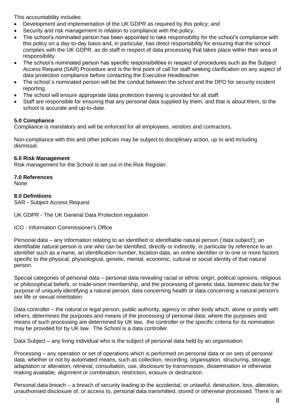This accountability includes:

- Development and implementation of the UK GDPR as required by this policy; and
- Security and risk management in relation to compliance with the policy.
- The school's nominated person has been appointed to take responsibility for the school's compliance with this policy on a day-to-day basis and, in particular, has direct responsibility for ensuring that the school complies with the UK GDPR, as do staff in respect of data processing that takes place within their area of responsibility.
- The school's nominated person has specific responsibilities in respect of procedures such as the Subject Access Request (SAR) Procedure and is the first point of call for staff seeking clarification on any aspect of data protection compliance before contacting the Executive Headteacher.
- The school's nominated person will be the conduit between the school and the DPO for security incident reporting.
- The school will ensure appropriate data protection training is provided for all staff.
- Staff are responsible for ensuring that any personal data supplied by them, and that is about them, to the school is accurate and up-to-date.

#### **5.0 Compliance**

Compliance is mandatory and will be enforced for all employees, vendors and contractors.

Non-compliance with this and other policies may be subject to disciplinary action, up to and including dismissal.

#### **6.0 Risk Management**

Risk management for the School is set out in the Risk Register.

#### **7.0 References**

None

#### **8.0 Definitions**

SAR - Subject Access Request

UK GDPR - The UK General Data Protection regulation

#### ICO - Information Commissioner's Office

Personal data – any information relating to an identified or identifiable natural person ('data subject'); an identifiable natural person is one who can be identified, directly or indirectly, in particular by reference to an identifier such as a name, an identification number, location data, an online identifier or to one or more factors specific to the physical, physiological, genetic, mental, economic, cultural or social identity of that natural person.

Special categories of personal data – personal data revealing racial or ethnic origin, political opinions, religious or philosophical beliefs, or trade-union membership, and the processing of genetic data, biometric data for the purpose of uniquely identifying a natural person, data concerning health or data concerning a natural person's sex life or sexual orientation.

Data controller – the natural or legal person, public authority, agency or other body which, alone or jointly with others, determines the purposes and means of the processing of personal data; where the purposes and means of such processing are determined by UK law, the controller or the specific criteria for its nomination may be provided for by UK law. The School is a data controller.

Data Subject – any living individual who is the subject of personal data held by an organisation.

Processing – any operation or set of operations which is performed on personal data or on sets of personal data, whether or not by automated means, such as collection, recording, organisation, structuring, storage, adaptation or alteration, retrieval, consultation, use, disclosure by transmission, dissemination or otherwise making available, alignment or combination, restriction, erasure or destruction.

Personal data breach – a breach of security leading to the accidental, or unlawful, destruction, loss, alteration, unauthorised disclosure of, or access to, personal data transmitted, stored or otherwise processed. There is an